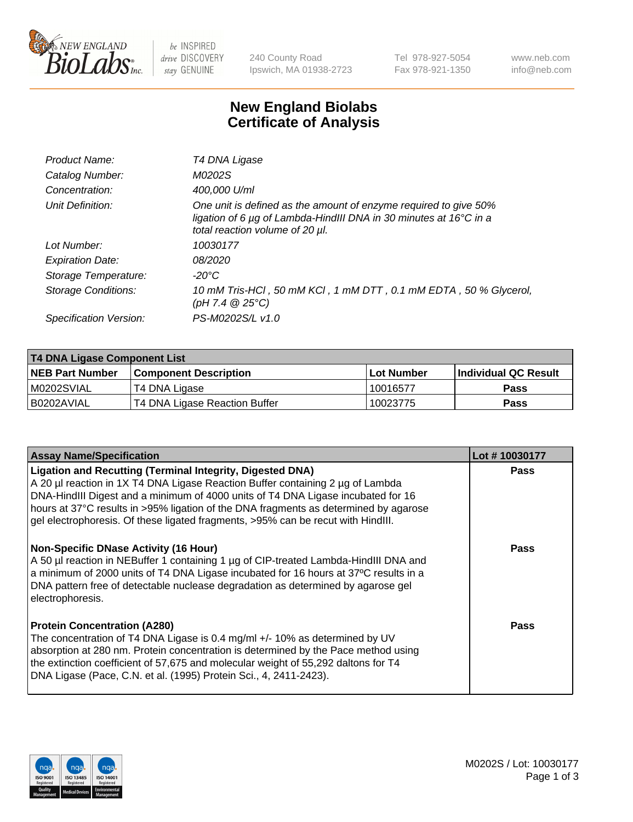

be INSPIRED drive DISCOVERY stay GENUINE

240 County Road Ipswich, MA 01938-2723 Tel 978-927-5054 Fax 978-921-1350 www.neb.com info@neb.com

## **New England Biolabs Certificate of Analysis**

| Product Name:              | T4 DNA Ligase                                                                                                                                                                           |
|----------------------------|-----------------------------------------------------------------------------------------------------------------------------------------------------------------------------------------|
| Catalog Number:            | M0202S                                                                                                                                                                                  |
| Concentration:             | 400,000 U/ml                                                                                                                                                                            |
| Unit Definition:           | One unit is defined as the amount of enzyme required to give 50%<br>ligation of 6 $\mu$ g of Lambda-HindIII DNA in 30 minutes at 16 $\degree$ C in a<br>total reaction volume of 20 µl. |
| Lot Number:                | 10030177                                                                                                                                                                                |
| <b>Expiration Date:</b>    | 08/2020                                                                                                                                                                                 |
| Storage Temperature:       | -20°C                                                                                                                                                                                   |
| <b>Storage Conditions:</b> | 10 mM Tris-HCl, 50 mM KCl, 1 mM DTT, 0.1 mM EDTA, 50 % Glycerol,<br>(pH 7.4 $@25°C$ )                                                                                                   |
| Specification Version:     | PS-M0202S/L v1.0                                                                                                                                                                        |

| T4 DNA Ligase Component List |                               |              |                             |  |
|------------------------------|-------------------------------|--------------|-----------------------------|--|
| <b>NEB Part Number</b>       | <b>Component Description</b>  | l Lot Number | <b>Individual QC Result</b> |  |
| M0202SVIAL                   | T4 DNA Ligase                 | 10016577     | <b>Pass</b>                 |  |
| I B0202AVIAL                 | T4 DNA Ligase Reaction Buffer | 10023775     | <b>Pass</b>                 |  |

| <b>Assay Name/Specification</b>                                                                                                                                                                                                                                                                                                                                                                                    | Lot #10030177 |
|--------------------------------------------------------------------------------------------------------------------------------------------------------------------------------------------------------------------------------------------------------------------------------------------------------------------------------------------------------------------------------------------------------------------|---------------|
| <b>Ligation and Recutting (Terminal Integrity, Digested DNA)</b><br>A 20 µl reaction in 1X T4 DNA Ligase Reaction Buffer containing 2 µg of Lambda<br>DNA-HindIII Digest and a minimum of 4000 units of T4 DNA Ligase incubated for 16<br>hours at 37°C results in >95% ligation of the DNA fragments as determined by agarose<br>gel electrophoresis. Of these ligated fragments, >95% can be recut with HindIII. | <b>Pass</b>   |
| <b>Non-Specific DNase Activity (16 Hour)</b><br>A 50 µl reaction in NEBuffer 1 containing 1 µg of CIP-treated Lambda-HindIII DNA and<br>a minimum of 2000 units of T4 DNA Ligase incubated for 16 hours at 37°C results in a<br>DNA pattern free of detectable nuclease degradation as determined by agarose gel<br>electrophoresis.                                                                               | <b>Pass</b>   |
| <b>Protein Concentration (A280)</b><br>The concentration of T4 DNA Ligase is 0.4 mg/ml +/- 10% as determined by UV<br>absorption at 280 nm. Protein concentration is determined by the Pace method using<br>the extinction coefficient of 57,675 and molecular weight of 55,292 daltons for T4<br>DNA Ligase (Pace, C.N. et al. (1995) Protein Sci., 4, 2411-2423).                                                | Pass          |

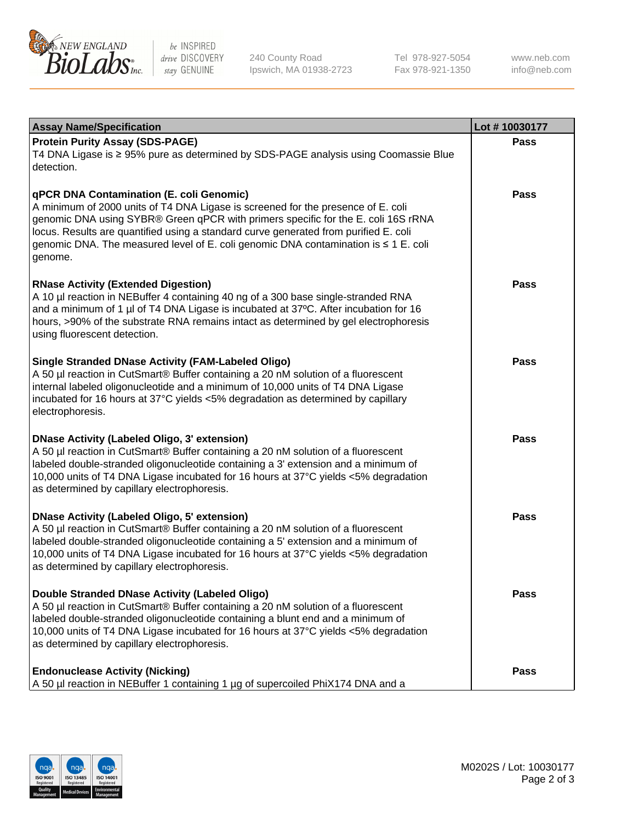

be INSPIRED drive DISCOVERY stay GENUINE

240 County Road Ipswich, MA 01938-2723 Tel 978-927-5054 Fax 978-921-1350

www.neb.com info@neb.com

| <b>Assay Name/Specification</b>                                                                                                                                                                                                                                                                                                                                                                             | Lot #10030177 |
|-------------------------------------------------------------------------------------------------------------------------------------------------------------------------------------------------------------------------------------------------------------------------------------------------------------------------------------------------------------------------------------------------------------|---------------|
| <b>Protein Purity Assay (SDS-PAGE)</b><br>T4 DNA Ligase is ≥ 95% pure as determined by SDS-PAGE analysis using Coomassie Blue<br>detection.                                                                                                                                                                                                                                                                 | Pass          |
| qPCR DNA Contamination (E. coli Genomic)<br>A minimum of 2000 units of T4 DNA Ligase is screened for the presence of E. coli<br>genomic DNA using SYBR® Green qPCR with primers specific for the E. coli 16S rRNA<br>locus. Results are quantified using a standard curve generated from purified E. coli<br>genomic DNA. The measured level of E. coli genomic DNA contamination is ≤ 1 E. coli<br>genome. | Pass          |
| <b>RNase Activity (Extended Digestion)</b><br>A 10 µl reaction in NEBuffer 4 containing 40 ng of a 300 base single-stranded RNA<br>and a minimum of 1 µl of T4 DNA Ligase is incubated at 37°C. After incubation for 16<br>hours, >90% of the substrate RNA remains intact as determined by gel electrophoresis<br>using fluorescent detection.                                                             | <b>Pass</b>   |
| <b>Single Stranded DNase Activity (FAM-Labeled Oligo)</b><br>A 50 µl reaction in CutSmart® Buffer containing a 20 nM solution of a fluorescent<br>internal labeled oligonucleotide and a minimum of 10,000 units of T4 DNA Ligase<br>incubated for 16 hours at 37°C yields <5% degradation as determined by capillary<br>electrophoresis.                                                                   | Pass          |
| <b>DNase Activity (Labeled Oligo, 3' extension)</b><br>A 50 µl reaction in CutSmart® Buffer containing a 20 nM solution of a fluorescent<br>labeled double-stranded oligonucleotide containing a 3' extension and a minimum of<br>10,000 units of T4 DNA Ligase incubated for 16 hours at 37°C yields <5% degradation<br>as determined by capillary electrophoresis.                                        | <b>Pass</b>   |
| <b>DNase Activity (Labeled Oligo, 5' extension)</b><br>A 50 µl reaction in CutSmart® Buffer containing a 20 nM solution of a fluorescent<br>labeled double-stranded oligonucleotide containing a 5' extension and a minimum of<br>10,000 units of T4 DNA Ligase incubated for 16 hours at 37°C yields <5% degradation<br>as determined by capillary electrophoresis.                                        | <b>Pass</b>   |
| Double Stranded DNase Activity (Labeled Oligo)<br>A 50 µl reaction in CutSmart® Buffer containing a 20 nM solution of a fluorescent<br>labeled double-stranded oligonucleotide containing a blunt end and a minimum of<br>10,000 units of T4 DNA Ligase incubated for 16 hours at 37°C yields <5% degradation<br>as determined by capillary electrophoresis.                                                | Pass          |
| <b>Endonuclease Activity (Nicking)</b><br>A 50 µl reaction in NEBuffer 1 containing 1 µg of supercoiled PhiX174 DNA and a                                                                                                                                                                                                                                                                                   | Pass          |